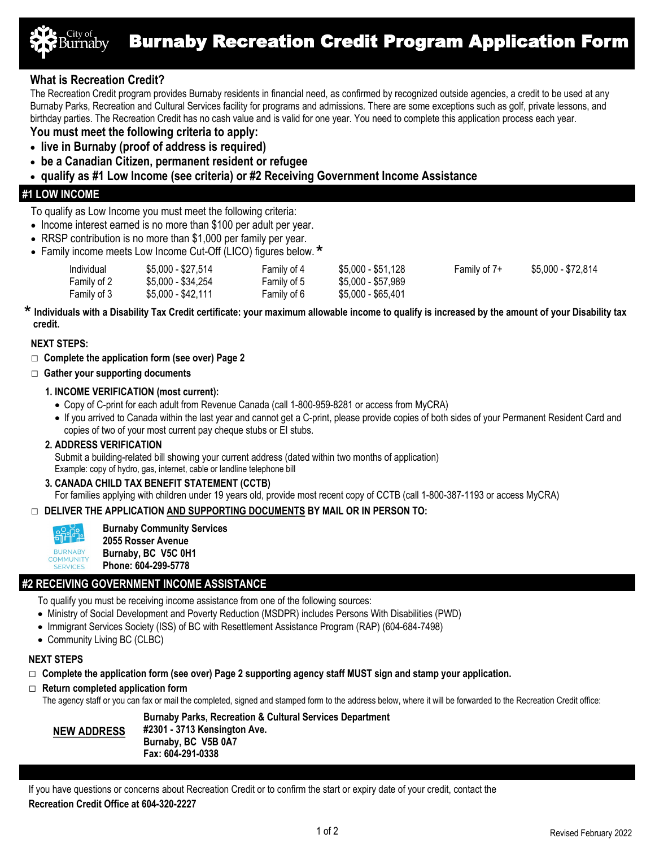

# **What is Recreation Credit?**

The Recreation Credit program provides Burnaby residents in financial need, as confirmed by recognized outside agencies, a credit to be used at any Burnaby Parks, Recreation and Cultural Services facility for programs and admissions. There are some exceptions such as golf, private lessons, and birthday parties. The Recreation Credit has no cash value and is valid for one year. You need to complete this application process each year.

## **You must meet the following criteria to apply:**

- **live in Burnaby (proof of address is required)**
- **be a Canadian Citizen, permanent resident or refugee**
- **qualify as #1 Low Income (see criteria) or #2 Receiving Government Income Assistance**

## **#1 LOW INCOME**

To qualify as Low Income you must meet the following criteria:

- Income interest earned is no more than \$100 per adult per year.
- RRSP contribution is no more than \$1,000 per family per year.
- Family income meets Low Income Cut-Off (LICO) figures below.

| Individual  | \$5,000 - \$27,514 | Family of 4 | \$5,000 - \$51,128 | Family of 7+ | \$5,000 - \$72,814 |
|-------------|--------------------|-------------|--------------------|--------------|--------------------|
| Family of 2 | \$5,000 - \$34,254 | Family of 5 | \$5,000 - \$57,989 |              |                    |
| Family of 3 | \$5,000 - \$42,111 | Family of 6 | $$5,000 - $65,401$ |              |                    |

**Individuals with a Disability Tax Credit certificate: your maximum allowable income to qualify is increased by the amount of your Disability tax** \* **credit.**

#### **NEXT STEPS:**

- **□ Complete the application form (see over) Page 2**
- □ **Gather your supporting documents**

### **1. INCOME VERIFICATION (most current):**

- Copy of C-print for each adult from Revenue Canada (call 1-800-959-8281 or access from MyCRA)
- If you arrived to Canada within the last year and cannot get a C-print, please provide copies of both sides of your Permanent Resident Card and copies of two of your most current pay cheque stubs or EI stubs.

### **2. ADDRESS VERIFICATION**

Submit a building-related bill showing your current address (dated within two months of application) Example: copy of hydro, gas, internet, cable or landline telephone bill

### **3. CANADA CHILD TAX BENEFIT STATEMENT (CCTB)**

For families applying with children under 19 years old, provide most recent copy of CCTB (call 1-800-387-1193 or access MyCRA)

### **□ DELIVER THE APPLICATION AND SUPPORTING DOCUMENTS BY MAIL OR IN PERSON TO:**



SERVICES

**Burnaby Community Services 2055 Rosser Avenue Burnaby, BC V5C 0H1 Phone: 604-299-5778**

## **#2 RECEIVING GOVERNMENT INCOME ASSISTANCE**

To qualify you must be receiving income assistance from one of the following sources:

- Ministry of Social Development and Poverty Reduction (MSDPR) includes Persons With Disabilities (PWD)
- Immigrant Services Society (ISS) of BC with Resettlement Assistance Program (RAP) (604-684-7498)
- Community Living BC (CLBC)

### **NEXT STEPS**

- **□ Complete the application form (see over) Page 2 supporting agency staff MUST sign and stamp your application.**
- **□ Return completed application form**
	- The agency staff or you can fax or mail the completed, signed and stamped form to the address below, where it will be forwarded to the Recreation Credit office:

#### **Burnaby Parks, Recreation & Cultural Services Department #2301 - 3713 Kensington Ave. Burnaby, BC V5B 0A7 Fax: 604-291-0338 NEW ADDRESS**

If you have questions or concerns about Recreation Credit or to confirm the start or expiry date of your credit, contact the **Recreation Credit Office at 604-320-2227**